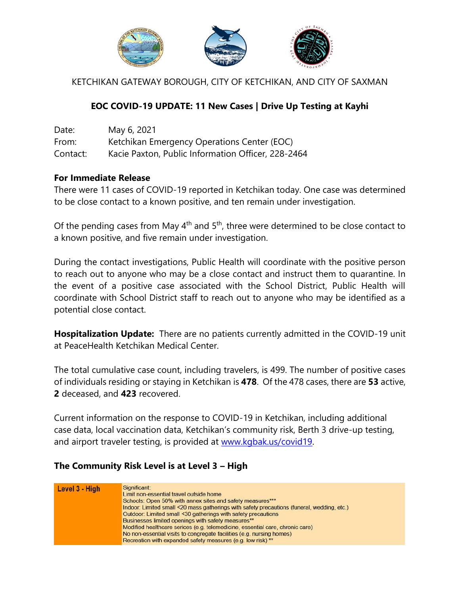

KETCHIKAN GATEWAY BOROUGH, CITY OF KETCHIKAN, AND CITY OF SAXMAN

## **EOC COVID-19 UPDATE: 11 New Cases | Drive Up Testing at Kayhi**

| Date:    | May 6, 2021                                        |
|----------|----------------------------------------------------|
| From:    | Ketchikan Emergency Operations Center (EOC)        |
| Contact: | Kacie Paxton, Public Information Officer, 228-2464 |

## **For Immediate Release**

There were 11 cases of COVID-19 reported in Ketchikan today. One case was determined to be close contact to a known positive, and ten remain under investigation.

Of the pending cases from May  $4<sup>th</sup>$  and  $5<sup>th</sup>$ , three were determined to be close contact to a known positive, and five remain under investigation.

During the contact investigations, Public Health will coordinate with the positive person to reach out to anyone who may be a close contact and instruct them to quarantine. In the event of a positive case associated with the School District, Public Health will coordinate with School District staff to reach out to anyone who may be identified as a potential close contact.

**Hospitalization Update:** There are no patients currently admitted in the COVID-19 unit at PeaceHealth Ketchikan Medical Center.

The total cumulative case count, including travelers, is 499. The number of positive cases of individuals residing or staying in Ketchikan is **478**. Of the 478 cases, there are **53** active, **2** deceased, and **423** recovered.

Current information on the response to COVID-19 in Ketchikan, including additional case data, local vaccination data, Ketchikan's community risk, Berth 3 drive-up testing, and airport traveler testing, is provided at [www.kgbak.us/covid19.](http://www.kgbak.us/covid19)

## **The Community Risk Level is at Level 3 – High**